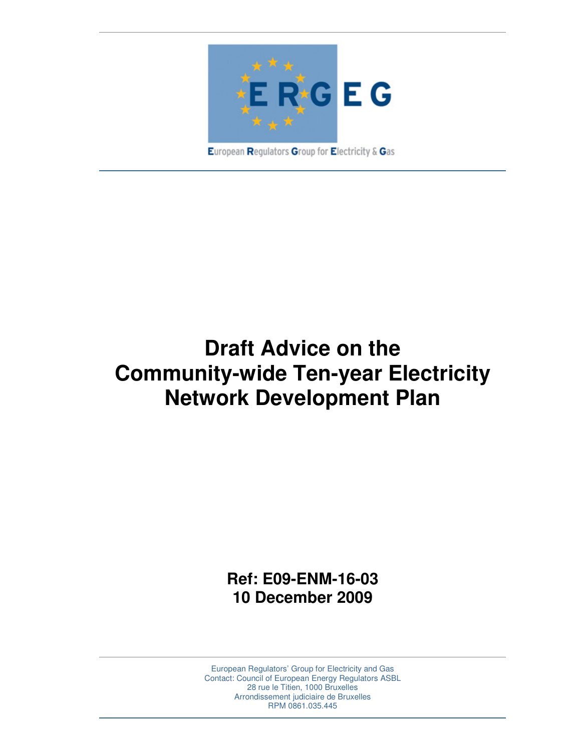

European Regulators Group for Electricity & Gas

# **Draft Advice on the Community-wide Ten-year Electricity Network Development Plan**

**Ref: E09-ENM-16-03 10 December 2009** 

European Regulators' Group for Electricity and Gas Contact: Council of European Energy Regulators ASBL 28 rue le Titien, 1000 Bruxelles Arrondissement judiciaire de Bruxelles RPM 0861.035.445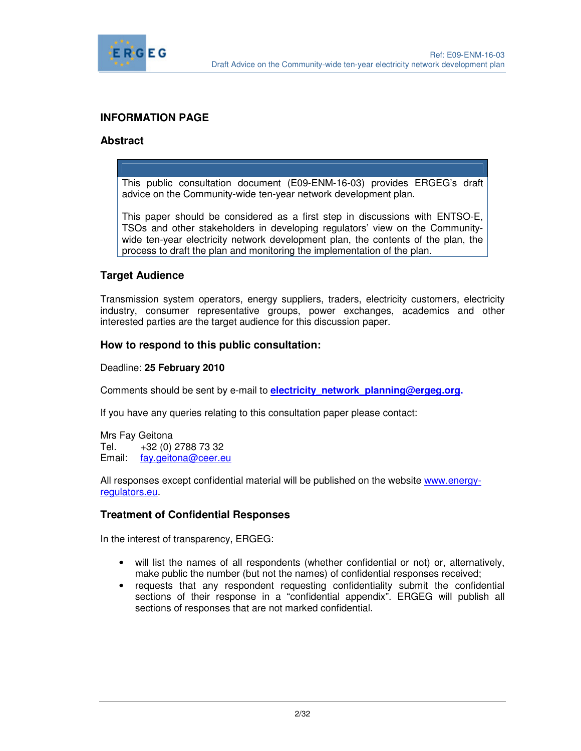

#### **INFORMATION PAGE**

#### **Abstract**

This public consultation document (E09-ENM-16-03) provides ERGEG's draft advice on the Community-wide ten-year network development plan.

This paper should be considered as a first step in discussions with ENTSO-E, TSOs and other stakeholders in developing regulators' view on the Communitywide ten-year electricity network development plan, the contents of the plan, the process to draft the plan and monitoring the implementation of the plan.

#### **Target Audience**

Transmission system operators, energy suppliers, traders, electricity customers, electricity industry, consumer representative groups, power exchanges, academics and other interested parties are the target audience for this discussion paper.

#### **How to respond to this public consultation:**

Deadline: **25 February 2010** 

Comments should be sent by e-mail to **electricity\_network\_planning@ergeg.org.** 

If you have any queries relating to this consultation paper please contact:

Mrs Fay Geitona Tel. +32 (0) 2788 73 32 Email: fay.geitona@ceer.eu

All responses except confidential material will be published on the website www.energyregulators.eu.

#### **Treatment of Confidential Responses**

In the interest of transparency, ERGEG:

- will list the names of all respondents (whether confidential or not) or, alternatively, make public the number (but not the names) of confidential responses received;
- requests that any respondent requesting confidentiality submit the confidential sections of their response in a "confidential appendix". ERGEG will publish all sections of responses that are not marked confidential.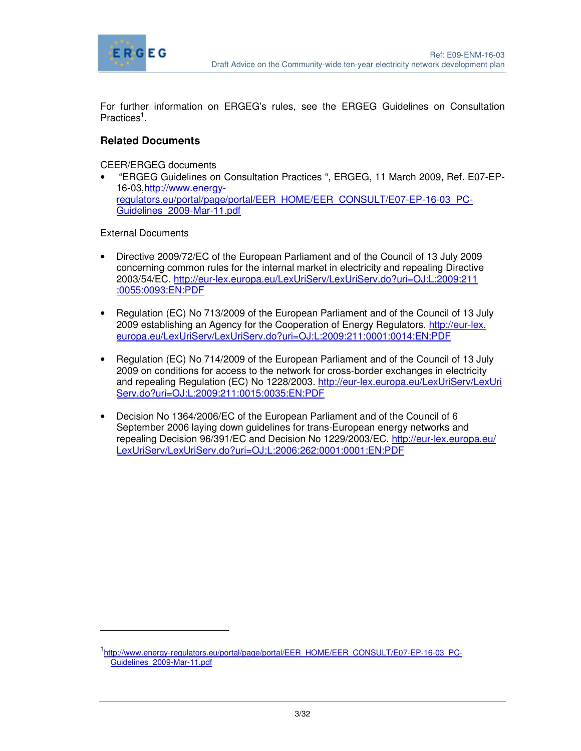

For further information on ERGEG's rules, see the ERGEG Guidelines on Consultation Practices<sup>1</sup>.

#### **Related Documents**

CEER/ERGEG documents

• "ERGEG Guidelines on Consultation Practices ", ERGEG, 11 March 2009, Ref. E07-EP-16-03,http://www.energyregulators.eu/portal/page/portal/EER\_HOME/EER\_CONSULT/E07-EP-16-03\_PC-Guidelines\_2009-Mar-11.pdf

External Documents

-

- Directive 2009/72/EC of the European Parliament and of the Council of 13 July 2009 concerning common rules for the internal market in electricity and repealing Directive 2003/54/EC. http://eur-lex.europa.eu/LexUriServ/LexUriServ.do?uri=OJ:L:2009:211 :0055:0093:EN:PDF
- Regulation (EC) No 713/2009 of the European Parliament and of the Council of 13 July 2009 establishing an Agency for the Cooperation of Energy Regulators. http://eur-lex. europa.eu/LexUriServ/LexUriServ.do?uri=OJ:L:2009:211:0001:0014:EN:PDF
- Regulation (EC) No 714/2009 of the European Parliament and of the Council of 13 July 2009 on conditions for access to the network for cross-border exchanges in electricity and repealing Regulation (EC) No 1228/2003. http://eur-lex.europa.eu/LexUriServ/LexUri Serv.do?uri=OJ:L:2009:211:0015:0035:EN:PDF
- Decision No 1364/2006/EC of the European Parliament and of the Council of 6 September 2006 laying down guidelines for trans-European energy networks and repealing Decision 96/391/EC and Decision No 1229/2003/EC. http://eur-lex.europa.eu/ LexUriServ/LexUriServ.do?uri=OJ:L:2006:262:0001:0001:EN:PDF

<sup>1&</sup>lt;br>http://www.energy-regulators.eu/portal/page/portal/EER\_HOME/EER\_CONSULT/E07-EP-16-03\_PC-Guidelines 2009-Mar-11.pdf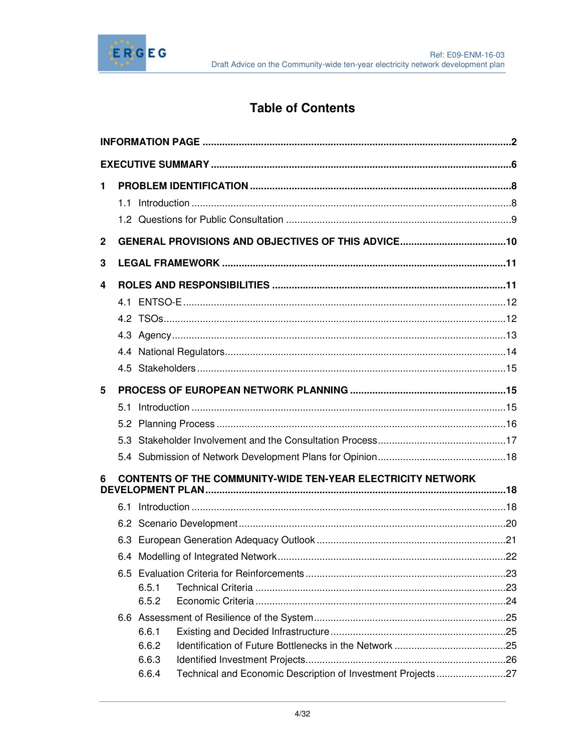

# **Table of Contents**

| $\mathbf{1}$                                                            |     |                |                                                             |  |  |  |  |  |
|-------------------------------------------------------------------------|-----|----------------|-------------------------------------------------------------|--|--|--|--|--|
|                                                                         |     |                |                                                             |  |  |  |  |  |
|                                                                         |     |                |                                                             |  |  |  |  |  |
| $\mathbf 2$                                                             |     |                |                                                             |  |  |  |  |  |
| 3                                                                       |     |                |                                                             |  |  |  |  |  |
| 4                                                                       |     |                |                                                             |  |  |  |  |  |
|                                                                         |     |                |                                                             |  |  |  |  |  |
|                                                                         |     |                |                                                             |  |  |  |  |  |
|                                                                         |     |                |                                                             |  |  |  |  |  |
|                                                                         |     |                |                                                             |  |  |  |  |  |
|                                                                         |     |                |                                                             |  |  |  |  |  |
| 5                                                                       |     |                |                                                             |  |  |  |  |  |
|                                                                         | 5.1 |                |                                                             |  |  |  |  |  |
|                                                                         |     |                |                                                             |  |  |  |  |  |
|                                                                         |     |                |                                                             |  |  |  |  |  |
|                                                                         |     |                |                                                             |  |  |  |  |  |
| <b>CONTENTS OF THE COMMUNITY-WIDE TEN-YEAR ELECTRICITY NETWORK</b><br>6 |     |                |                                                             |  |  |  |  |  |
|                                                                         |     |                |                                                             |  |  |  |  |  |
|                                                                         |     |                |                                                             |  |  |  |  |  |
|                                                                         |     |                |                                                             |  |  |  |  |  |
|                                                                         |     |                |                                                             |  |  |  |  |  |
|                                                                         |     |                |                                                             |  |  |  |  |  |
|                                                                         |     | 6.5.1          |                                                             |  |  |  |  |  |
|                                                                         |     | 6.5.2          |                                                             |  |  |  |  |  |
|                                                                         |     |                |                                                             |  |  |  |  |  |
|                                                                         |     | 6.6.1          |                                                             |  |  |  |  |  |
|                                                                         |     | 6.6.2          |                                                             |  |  |  |  |  |
|                                                                         |     | 6.6.3<br>6.6.4 | Technical and Economic Description of Investment Projects27 |  |  |  |  |  |
|                                                                         |     |                |                                                             |  |  |  |  |  |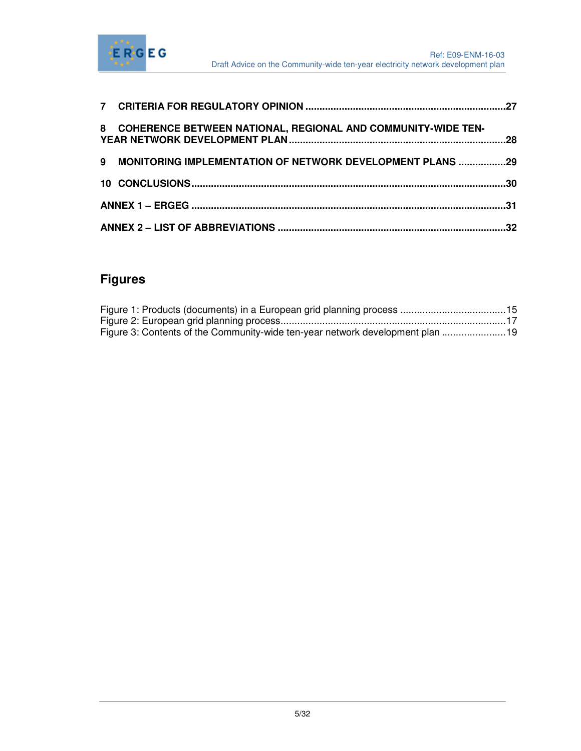

| 8 COHERENCE BETWEEN NATIONAL, REGIONAL AND COMMUNITY-WIDE TEN- |  |
|----------------------------------------------------------------|--|
| 9 MONITORING IMPLEMENTATION OF NETWORK DEVELOPMENT PLANS 29    |  |
|                                                                |  |
|                                                                |  |
|                                                                |  |

# **Figures**

| Figure 3: Contents of the Community-wide ten-year network development plan 19 |  |
|-------------------------------------------------------------------------------|--|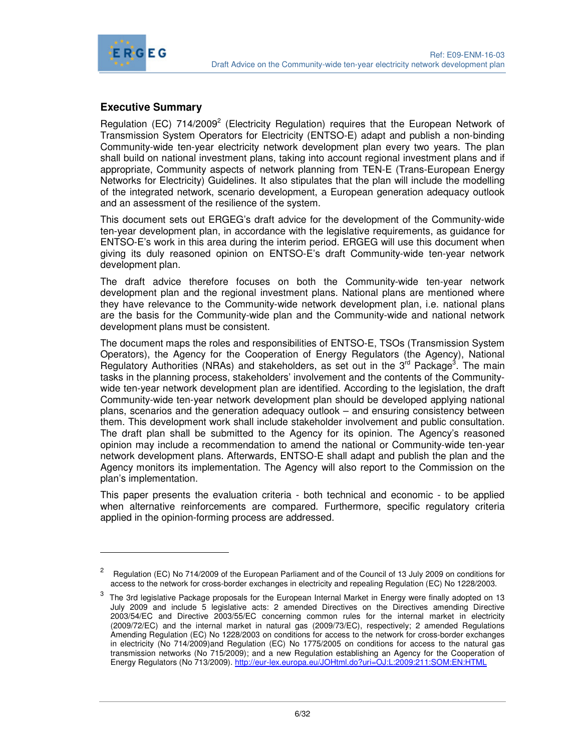

-

# **Executive Summary**

Regulation (EC)  $714/2009^2$  (Electricity Regulation) requires that the European Network of Transmission System Operators for Electricity (ENTSO-E) adapt and publish a non-binding Community-wide ten-year electricity network development plan every two years. The plan shall build on national investment plans, taking into account regional investment plans and if appropriate, Community aspects of network planning from TEN-E (Trans-European Energy Networks for Electricity) Guidelines. It also stipulates that the plan will include the modelling of the integrated network, scenario development, a European generation adequacy outlook and an assessment of the resilience of the system.

This document sets out ERGEG's draft advice for the development of the Community-wide ten-year development plan, in accordance with the legislative requirements, as guidance for ENTSO-E's work in this area during the interim period. ERGEG will use this document when giving its duly reasoned opinion on ENTSO-E's draft Community-wide ten-year network development plan.

The draft advice therefore focuses on both the Community-wide ten-year network development plan and the regional investment plans. National plans are mentioned where they have relevance to the Community-wide network development plan, i.e. national plans are the basis for the Community-wide plan and the Community-wide and national network development plans must be consistent.

The document maps the roles and responsibilities of ENTSO-E, TSOs (Transmission System Operators), the Agency for the Cooperation of Energy Regulators (the Agency), National Regulatory Authorities (NRAs) and stakeholders, as set out in the  $3^{rd}$  Package<sup>3</sup>. The main tasks in the planning process, stakeholders' involvement and the contents of the Communitywide ten-year network development plan are identified. According to the legislation, the draft Community-wide ten-year network development plan should be developed applying national plans, scenarios and the generation adequacy outlook – and ensuring consistency between them. This development work shall include stakeholder involvement and public consultation. The draft plan shall be submitted to the Agency for its opinion. The Agency's reasoned opinion may include a recommendation to amend the national or Community-wide ten-year network development plans. Afterwards, ENTSO-E shall adapt and publish the plan and the Agency monitors its implementation. The Agency will also report to the Commission on the plan's implementation.

This paper presents the evaluation criteria - both technical and economic - to be applied when alternative reinforcements are compared. Furthermore, specific regulatory criteria applied in the opinion-forming process are addressed.

<sup>2</sup> Regulation (EC) No 714/2009 of the European Parliament and of the Council of 13 July 2009 on conditions for access to the network for cross-border exchanges in electricity and repealing Regulation (EC) No 1228/2003.

 $^3$  The 3rd legislative Package proposals for the European Internal Market in Energy were finally adopted on 13 July 2009 and include 5 legislative acts: 2 amended Directives on the Directives amending Directive 2003/54/EC and Directive 2003/55/EC concerning common rules for the internal market in electricity (2009/72/EC) and the internal market in natural gas (2009/73/EC), respectively; 2 amended Regulations Amending Regulation (EC) No 1228/2003 on conditions for access to the network for cross-border exchanges in electricity (No 714/2009)and Regulation (EC) No 1775/2005 on conditions for access to the natural gas transmission networks (No 715/2009); and a new Regulation establishing an Agency for the Cooperation of Energy Regulators (No 713/2009). http://eur-lex.europa.eu/JOHtml.do?uri=OJ:L:2009:211:SOM:EN:HTML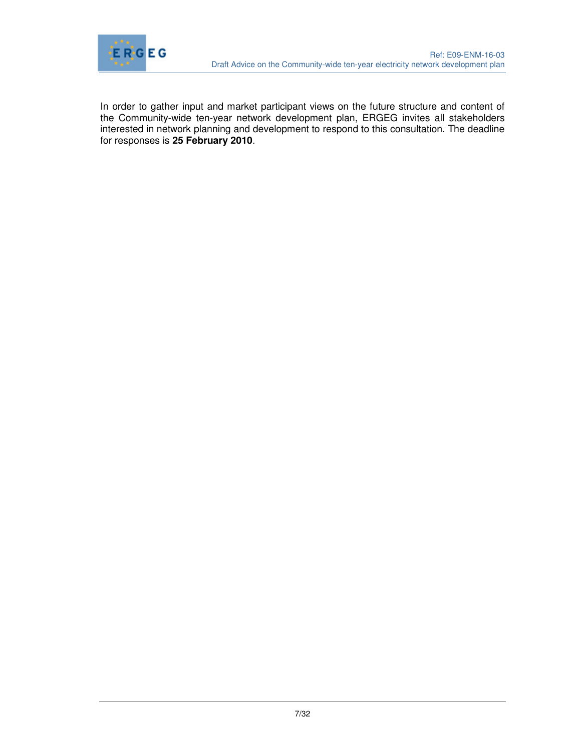

In order to gather input and market participant views on the future structure and content of the Community-wide ten-year network development plan, ERGEG invites all stakeholders interested in network planning and development to respond to this consultation. The deadline for responses is **25 February 2010**.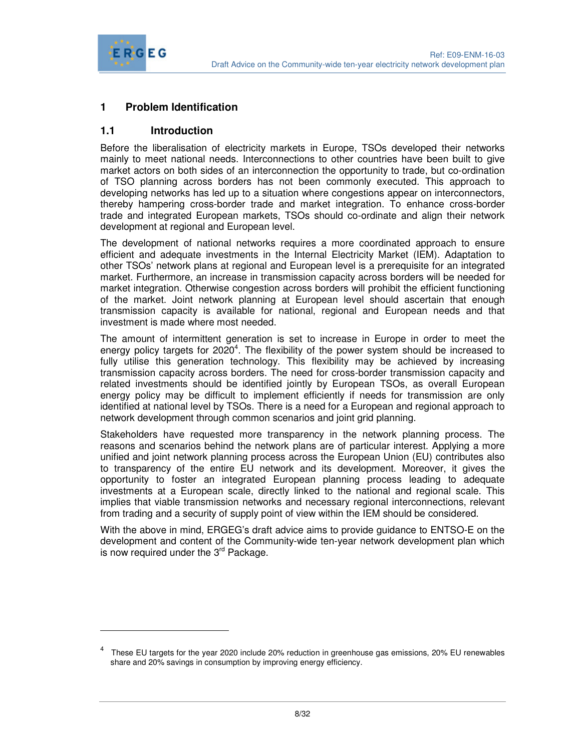

-

# **1 Problem Identification**

## **1.1 Introduction**

Before the liberalisation of electricity markets in Europe, TSOs developed their networks mainly to meet national needs. Interconnections to other countries have been built to give market actors on both sides of an interconnection the opportunity to trade, but co-ordination of TSO planning across borders has not been commonly executed. This approach to developing networks has led up to a situation where congestions appear on interconnectors, thereby hampering cross-border trade and market integration. To enhance cross-border trade and integrated European markets, TSOs should co-ordinate and align their network development at regional and European level.

The development of national networks requires a more coordinated approach to ensure efficient and adequate investments in the Internal Electricity Market (IEM). Adaptation to other TSOs' network plans at regional and European level is a prerequisite for an integrated market. Furthermore, an increase in transmission capacity across borders will be needed for market integration. Otherwise congestion across borders will prohibit the efficient functioning of the market. Joint network planning at European level should ascertain that enough transmission capacity is available for national, regional and European needs and that investment is made where most needed.

The amount of intermittent generation is set to increase in Europe in order to meet the energy policy targets for 2020<sup>4</sup>. The flexibility of the power system should be increased to fully utilise this generation technology. This flexibility may be achieved by increasing transmission capacity across borders. The need for cross-border transmission capacity and related investments should be identified jointly by European TSOs, as overall European energy policy may be difficult to implement efficiently if needs for transmission are only identified at national level by TSOs. There is a need for a European and regional approach to network development through common scenarios and joint grid planning.

Stakeholders have requested more transparency in the network planning process. The reasons and scenarios behind the network plans are of particular interest. Applying a more unified and joint network planning process across the European Union (EU) contributes also to transparency of the entire EU network and its development. Moreover, it gives the opportunity to foster an integrated European planning process leading to adequate investments at a European scale, directly linked to the national and regional scale. This implies that viable transmission networks and necessary regional interconnections, relevant from trading and a security of supply point of view within the IEM should be considered.

With the above in mind, ERGEG's draft advice aims to provide guidance to ENTSO-E on the development and content of the Community-wide ten-year network development plan which is now required under the  $3<sup>rd</sup>$  Package.

<sup>4</sup> These EU targets for the year 2020 include 20% reduction in greenhouse gas emissions, 20% EU renewables share and 20% savings in consumption by improving energy efficiency.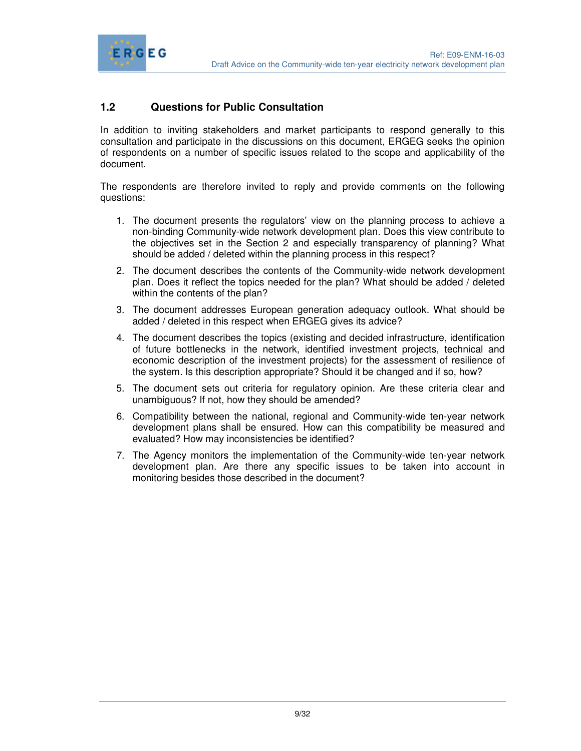

# **1.2 Questions for Public Consultation**

In addition to inviting stakeholders and market participants to respond generally to this consultation and participate in the discussions on this document, ERGEG seeks the opinion of respondents on a number of specific issues related to the scope and applicability of the document.

The respondents are therefore invited to reply and provide comments on the following questions:

- 1. The document presents the regulators' view on the planning process to achieve a non-binding Community-wide network development plan. Does this view contribute to the objectives set in the Section 2 and especially transparency of planning? What should be added / deleted within the planning process in this respect?
- 2. The document describes the contents of the Community-wide network development plan. Does it reflect the topics needed for the plan? What should be added / deleted within the contents of the plan?
- 3. The document addresses European generation adequacy outlook. What should be added / deleted in this respect when ERGEG gives its advice?
- 4. The document describes the topics (existing and decided infrastructure, identification of future bottlenecks in the network, identified investment projects, technical and economic description of the investment projects) for the assessment of resilience of the system. Is this description appropriate? Should it be changed and if so, how?
- 5. The document sets out criteria for regulatory opinion. Are these criteria clear and unambiguous? If not, how they should be amended?
- 6. Compatibility between the national, regional and Community-wide ten-year network development plans shall be ensured. How can this compatibility be measured and evaluated? How may inconsistencies be identified?
- 7. The Agency monitors the implementation of the Community-wide ten-year network development plan. Are there any specific issues to be taken into account in monitoring besides those described in the document?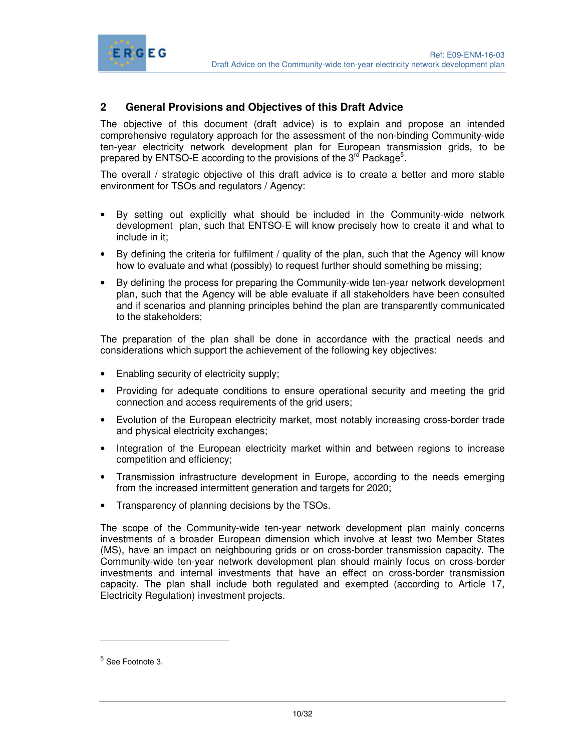

# **2 General Provisions and Objectives of this Draft Advice**

The objective of this document (draft advice) is to explain and propose an intended comprehensive regulatory approach for the assessment of the non-binding Community-wide ten-year electricity network development plan for European transmission grids, to be prepared by ENTSO-E according to the provisions of the 3<sup>rd</sup> Package<sup>5</sup>.

The overall / strategic objective of this draft advice is to create a better and more stable environment for TSOs and regulators / Agency:

- By setting out explicitly what should be included in the Community-wide network development plan, such that ENTSO-E will know precisely how to create it and what to include in it;
- By defining the criteria for fulfilment / quality of the plan, such that the Agency will know how to evaluate and what (possibly) to request further should something be missing;
- By defining the process for preparing the Community-wide ten-year network development plan, such that the Agency will be able evaluate if all stakeholders have been consulted and if scenarios and planning principles behind the plan are transparently communicated to the stakeholders;

The preparation of the plan shall be done in accordance with the practical needs and considerations which support the achievement of the following key objectives:

• Enabling security of electricity supply;

ERGEG

- Providing for adequate conditions to ensure operational security and meeting the grid connection and access requirements of the grid users;
- Evolution of the European electricity market, most notably increasing cross-border trade and physical electricity exchanges;
- Integration of the European electricity market within and between regions to increase competition and efficiency;
- Transmission infrastructure development in Europe, according to the needs emerging from the increased intermittent generation and targets for 2020;
- Transparency of planning decisions by the TSOs.

The scope of the Community-wide ten-year network development plan mainly concerns investments of a broader European dimension which involve at least two Member States (MS), have an impact on neighbouring grids or on cross-border transmission capacity. The Community-wide ten-year network development plan should mainly focus on cross-border investments and internal investments that have an effect on cross-border transmission capacity. The plan shall include both regulated and exempted (according to Article 17, Electricity Regulation) investment projects.

-

<sup>&</sup>lt;sup>5</sup> See Footnote 3.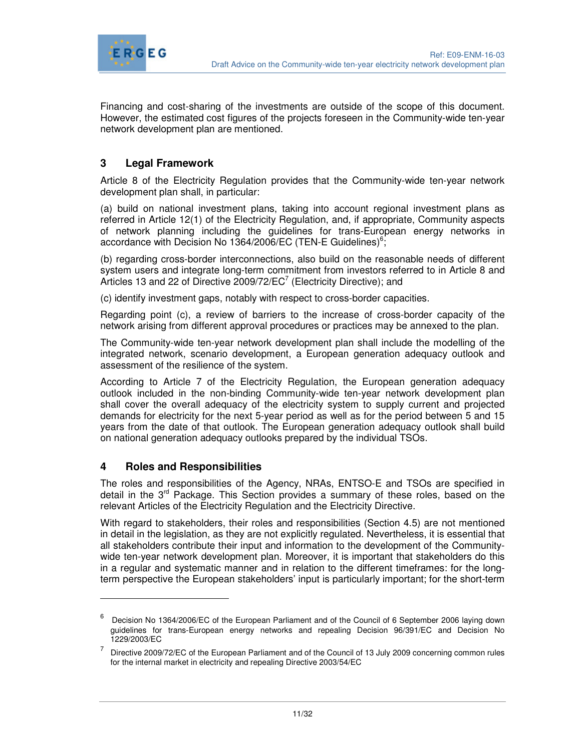

Financing and cost-sharing of the investments are outside of the scope of this document. However, the estimated cost figures of the projects foreseen in the Community-wide ten-year network development plan are mentioned.

# **3 Legal Framework**

Article 8 of the Electricity Regulation provides that the Community-wide ten-year network development plan shall, in particular:

(a) build on national investment plans, taking into account regional investment plans as referred in Article 12(1) of the Electricity Regulation, and, if appropriate, Community aspects of network planning including the guidelines for trans-European energy networks in accordance with Decision No 1364/2006/EC (TEN-E Guidelines)<sup>6</sup>;

(b) regarding cross-border interconnections, also build on the reasonable needs of different system users and integrate long-term commitment from investors referred to in Article 8 and Articles 13 and 22 of Directive 2009/72/ $EC^7$  (Electricity Directive); and

(c) identify investment gaps, notably with respect to cross-border capacities.

Regarding point (c), a review of barriers to the increase of cross-border capacity of the network arising from different approval procedures or practices may be annexed to the plan.

The Community-wide ten-year network development plan shall include the modelling of the integrated network, scenario development, a European generation adequacy outlook and assessment of the resilience of the system.

According to Article 7 of the Electricity Regulation, the European generation adequacy outlook included in the non-binding Community-wide ten-year network development plan shall cover the overall adequacy of the electricity system to supply current and projected demands for electricity for the next 5-year period as well as for the period between 5 and 15 years from the date of that outlook. The European generation adequacy outlook shall build on national generation adequacy outlooks prepared by the individual TSOs.

#### **4 Roles and Responsibilities**

 $\overline{a}$ 

The roles and responsibilities of the Agency, NRAs, ENTSO-E and TSOs are specified in detail in the  $3<sup>rd</sup>$  Package. This Section provides a summary of these roles, based on the relevant Articles of the Electricity Regulation and the Electricity Directive.

With regard to stakeholders, their roles and responsibilities (Section 4.5) are not mentioned in detail in the legislation, as they are not explicitly regulated. Nevertheless, it is essential that all stakeholders contribute their input and information to the development of the Communitywide ten-year network development plan. Moreover, it is important that stakeholders do this in a regular and systematic manner and in relation to the different timeframes: for the longterm perspective the European stakeholders' input is particularly important; for the short-term

<sup>6</sup> Decision No 1364/2006/EC of the European Parliament and of the Council of 6 September 2006 laying down guidelines for trans-European energy networks and repealing Decision 96/391/EC and Decision No 1229/2003/EC

<sup>7</sup> Directive 2009/72/EC of the European Parliament and of the Council of 13 July 2009 concerning common rules for the internal market in electricity and repealing Directive 2003/54/EC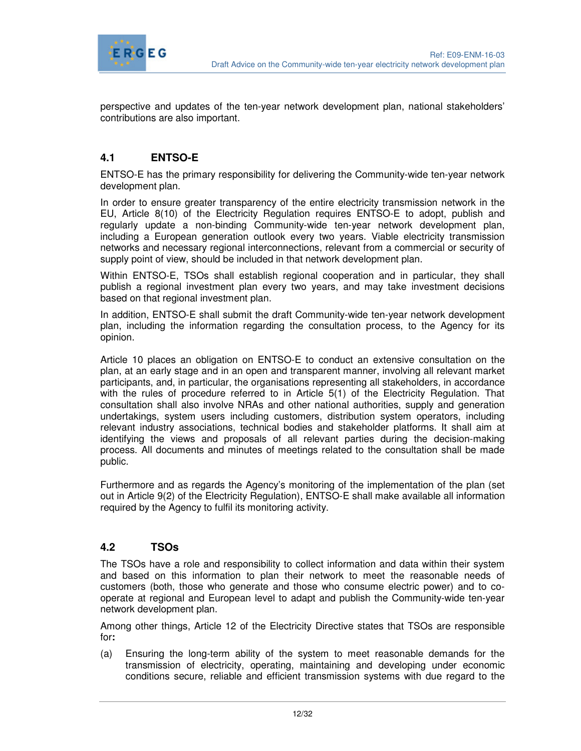

perspective and updates of the ten-year network development plan, national stakeholders' contributions are also important.

# **4.1 ENTSO-E**

ENTSO-E has the primary responsibility for delivering the Community-wide ten-year network development plan.

In order to ensure greater transparency of the entire electricity transmission network in the EU, Article 8(10) of the Electricity Regulation requires ENTSO-E to adopt, publish and regularly update a non-binding Community-wide ten-year network development plan, including a European generation outlook every two years. Viable electricity transmission networks and necessary regional interconnections, relevant from a commercial or security of supply point of view, should be included in that network development plan.

Within ENTSO-E, TSOs shall establish regional cooperation and in particular, they shall publish a regional investment plan every two years, and may take investment decisions based on that regional investment plan.

In addition, ENTSO-E shall submit the draft Community-wide ten-year network development plan, including the information regarding the consultation process, to the Agency for its opinion.

Article 10 places an obligation on ENTSO-E to conduct an extensive consultation on the plan, at an early stage and in an open and transparent manner, involving all relevant market participants, and, in particular, the organisations representing all stakeholders, in accordance with the rules of procedure referred to in Article 5(1) of the Electricity Regulation. That consultation shall also involve NRAs and other national authorities, supply and generation undertakings, system users including customers, distribution system operators, including relevant industry associations, technical bodies and stakeholder platforms. It shall aim at identifying the views and proposals of all relevant parties during the decision-making process. All documents and minutes of meetings related to the consultation shall be made public.

Furthermore and as regards the Agency's monitoring of the implementation of the plan (set out in Article 9(2) of the Electricity Regulation), ENTSO-E shall make available all information required by the Agency to fulfil its monitoring activity.

#### **4.2 TSOs**

The TSOs have a role and responsibility to collect information and data within their system and based on this information to plan their network to meet the reasonable needs of customers (both, those who generate and those who consume electric power) and to cooperate at regional and European level to adapt and publish the Community-wide ten-year network development plan.

Among other things, Article 12 of the Electricity Directive states that TSOs are responsible for**:** 

(a) Ensuring the long-term ability of the system to meet reasonable demands for the transmission of electricity, operating, maintaining and developing under economic conditions secure, reliable and efficient transmission systems with due regard to the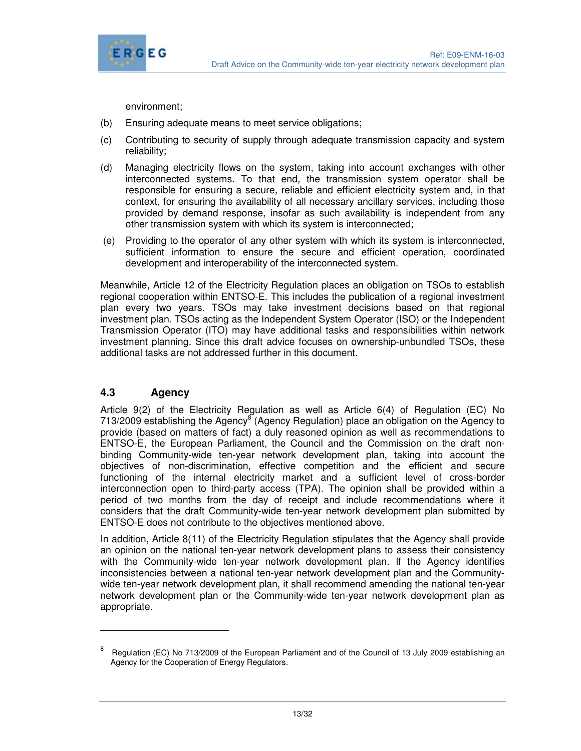

environment;

- (b) Ensuring adequate means to meet service obligations;
- (c) Contributing to security of supply through adequate transmission capacity and system reliability;
- (d) Managing electricity flows on the system, taking into account exchanges with other interconnected systems. To that end, the transmission system operator shall be responsible for ensuring a secure, reliable and efficient electricity system and, in that context, for ensuring the availability of all necessary ancillary services, including those provided by demand response, insofar as such availability is independent from any other transmission system with which its system is interconnected;
- (e) Providing to the operator of any other system with which its system is interconnected, sufficient information to ensure the secure and efficient operation, coordinated development and interoperability of the interconnected system.

Meanwhile, Article 12 of the Electricity Regulation places an obligation on TSOs to establish regional cooperation within ENTSO-E. This includes the publication of a regional investment plan every two years. TSOs may take investment decisions based on that regional investment plan. TSOs acting as the Independent System Operator (ISO) or the Independent Transmission Operator (ITO) may have additional tasks and responsibilities within network investment planning. Since this draft advice focuses on ownership-unbundled TSOs, these additional tasks are not addressed further in this document.

#### **4.3 Agency**

-

Article 9(2) of the Electricity Regulation as well as Article 6(4) of Regulation (EC) No 713/2009 establishing the Agency<sup>8</sup> (Agency Regulation) place an obligation on the Agency to provide (based on matters of fact) a duly reasoned opinion as well as recommendations to ENTSO-E, the European Parliament, the Council and the Commission on the draft nonbinding Community-wide ten-year network development plan, taking into account the objectives of non-discrimination, effective competition and the efficient and secure functioning of the internal electricity market and a sufficient level of cross-border interconnection open to third-party access (TPA). The opinion shall be provided within a period of two months from the day of receipt and include recommendations where it considers that the draft Community-wide ten-year network development plan submitted by ENTSO-E does not contribute to the objectives mentioned above.

In addition, Article 8(11) of the Electricity Regulation stipulates that the Agency shall provide an opinion on the national ten-year network development plans to assess their consistency with the Community-wide ten-year network development plan. If the Agency identifies inconsistencies between a national ten-year network development plan and the Communitywide ten-year network development plan, it shall recommend amending the national ten-year network development plan or the Community-wide ten-year network development plan as appropriate.

<sup>8</sup> Regulation (EC) No 713/2009 of the European Parliament and of the Council of 13 July 2009 establishing an Agency for the Cooperation of Energy Regulators.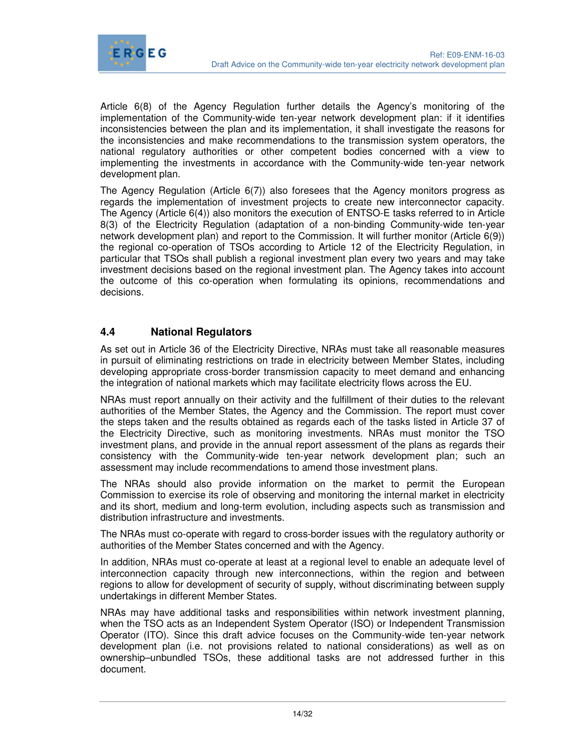

Article 6(8) of the Agency Regulation further details the Agency's monitoring of the implementation of the Community-wide ten-year network development plan: if it identifies inconsistencies between the plan and its implementation, it shall investigate the reasons for the inconsistencies and make recommendations to the transmission system operators, the national regulatory authorities or other competent bodies concerned with a view to implementing the investments in accordance with the Community-wide ten-year network development plan.

The Agency Regulation (Article 6(7)) also foresees that the Agency monitors progress as regards the implementation of investment projects to create new interconnector capacity. The Agency (Article 6(4)) also monitors the execution of ENTSO-E tasks referred to in Article 8(3) of the Electricity Regulation (adaptation of a non-binding Community-wide ten-year network development plan) and report to the Commission. It will further monitor (Article 6(9)) the regional co-operation of TSOs according to Article 12 of the Electricity Regulation, in particular that TSOs shall publish a regional investment plan every two years and may take investment decisions based on the regional investment plan. The Agency takes into account the outcome of this co-operation when formulating its opinions, recommendations and decisions.

# **4.4 National Regulators**

As set out in Article 36 of the Electricity Directive, NRAs must take all reasonable measures in pursuit of eliminating restrictions on trade in electricity between Member States, including developing appropriate cross-border transmission capacity to meet demand and enhancing the integration of national markets which may facilitate electricity flows across the EU.

NRAs must report annually on their activity and the fulfillment of their duties to the relevant authorities of the Member States, the Agency and the Commission. The report must cover the steps taken and the results obtained as regards each of the tasks listed in Article 37 of the Electricity Directive, such as monitoring investments. NRAs must monitor the TSO investment plans, and provide in the annual report assessment of the plans as regards their consistency with the Community-wide ten-year network development plan; such an assessment may include recommendations to amend those investment plans.

The NRAs should also provide information on the market to permit the European Commission to exercise its role of observing and monitoring the internal market in electricity and its short, medium and long-term evolution, including aspects such as transmission and distribution infrastructure and investments.

The NRAs must co-operate with regard to cross-border issues with the regulatory authority or authorities of the Member States concerned and with the Agency.

In addition, NRAs must co-operate at least at a regional level to enable an adequate level of interconnection capacity through new interconnections, within the region and between regions to allow for development of security of supply, without discriminating between supply undertakings in different Member States.

NRAs may have additional tasks and responsibilities within network investment planning, when the TSO acts as an Independent System Operator (ISO) or Independent Transmission Operator (ITO). Since this draft advice focuses on the Community-wide ten-year network development plan (i.e. not provisions related to national considerations) as well as on ownership–unbundled TSOs, these additional tasks are not addressed further in this document.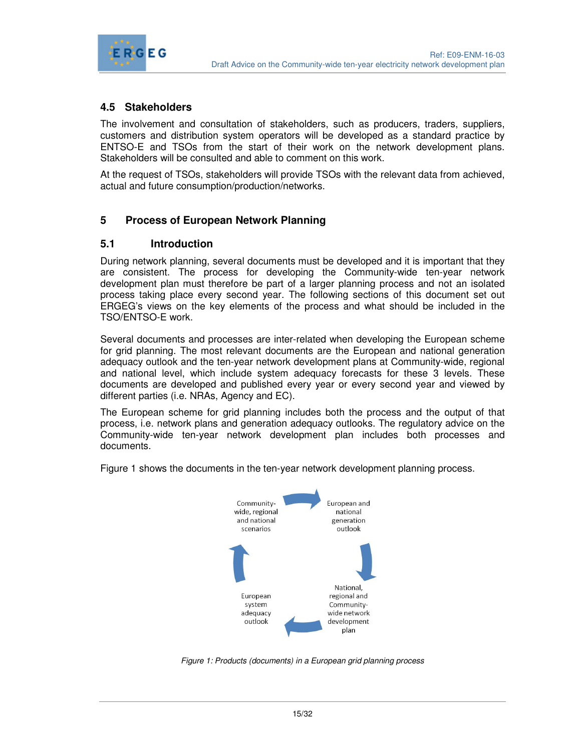

## **4.5 Stakeholders**

The involvement and consultation of stakeholders, such as producers, traders, suppliers, customers and distribution system operators will be developed as a standard practice by ENTSO-E and TSOs from the start of their work on the network development plans. Stakeholders will be consulted and able to comment on this work.

At the request of TSOs, stakeholders will provide TSOs with the relevant data from achieved, actual and future consumption/production/networks.

#### **5 Process of European Network Planning**

#### **5.1 Introduction**

During network planning, several documents must be developed and it is important that they are consistent. The process for developing the Community-wide ten-year network development plan must therefore be part of a larger planning process and not an isolated process taking place every second year. The following sections of this document set out ERGEG's views on the key elements of the process and what should be included in the TSO/ENTSO-E work.

Several documents and processes are inter-related when developing the European scheme for grid planning. The most relevant documents are the European and national generation adequacy outlook and the ten-year network development plans at Community-wide, regional and national level, which include system adequacy forecasts for these 3 levels. These documents are developed and published every year or every second year and viewed by different parties (i.e. NRAs, Agency and EC).

The European scheme for grid planning includes both the process and the output of that process, i.e. network plans and generation adequacy outlooks. The regulatory advice on the Community-wide ten-year network development plan includes both processes and documents.

Figure 1 shows the documents in the ten-year network development planning process.



Figure 1: Products (documents) in a European grid planning process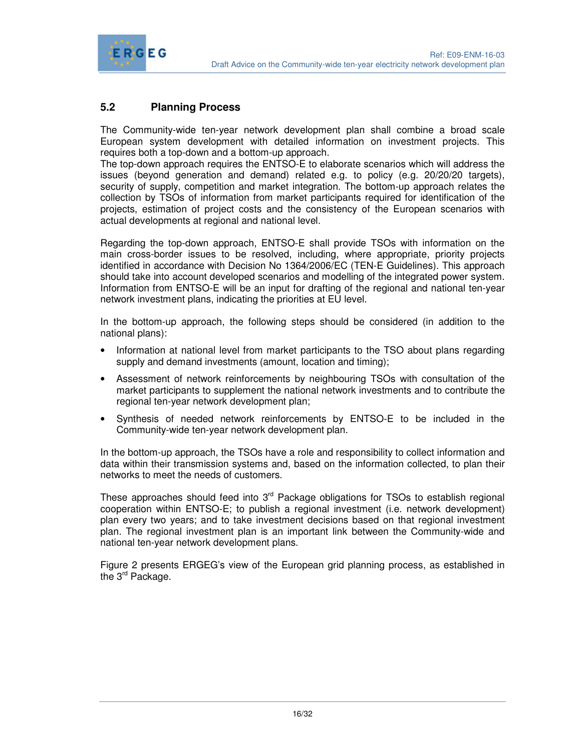

# **5.2 Planning Process**

The Community-wide ten-year network development plan shall combine a broad scale European system development with detailed information on investment projects. This requires both a top-down and a bottom-up approach.

The top-down approach requires the ENTSO-E to elaborate scenarios which will address the issues (beyond generation and demand) related e.g. to policy (e.g. 20/20/20 targets), security of supply, competition and market integration. The bottom-up approach relates the collection by TSOs of information from market participants required for identification of the projects, estimation of project costs and the consistency of the European scenarios with actual developments at regional and national level.

Regarding the top-down approach, ENTSO-E shall provide TSOs with information on the main cross-border issues to be resolved, including, where appropriate, priority projects identified in accordance with Decision No 1364/2006/EC (TEN-E Guidelines). This approach should take into account developed scenarios and modelling of the integrated power system. Information from ENTSO-E will be an input for drafting of the regional and national ten-year network investment plans, indicating the priorities at EU level.

In the bottom-up approach, the following steps should be considered (in addition to the national plans):

- Information at national level from market participants to the TSO about plans regarding supply and demand investments (amount, location and timing);
- Assessment of network reinforcements by neighbouring TSOs with consultation of the market participants to supplement the national network investments and to contribute the regional ten-year network development plan;
- Synthesis of needed network reinforcements by ENTSO-E to be included in the Community-wide ten-year network development plan.

In the bottom-up approach, the TSOs have a role and responsibility to collect information and data within their transmission systems and, based on the information collected, to plan their networks to meet the needs of customers.

These approaches should feed into  $3<sup>rd</sup>$  Package obligations for TSOs to establish regional cooperation within ENTSO-E; to publish a regional investment (i.e. network development) plan every two years; and to take investment decisions based on that regional investment plan. The regional investment plan is an important link between the Community-wide and national ten-year network development plans.

Figure 2 presents ERGEG's view of the European grid planning process, as established in the 3<sup>rd</sup> Package.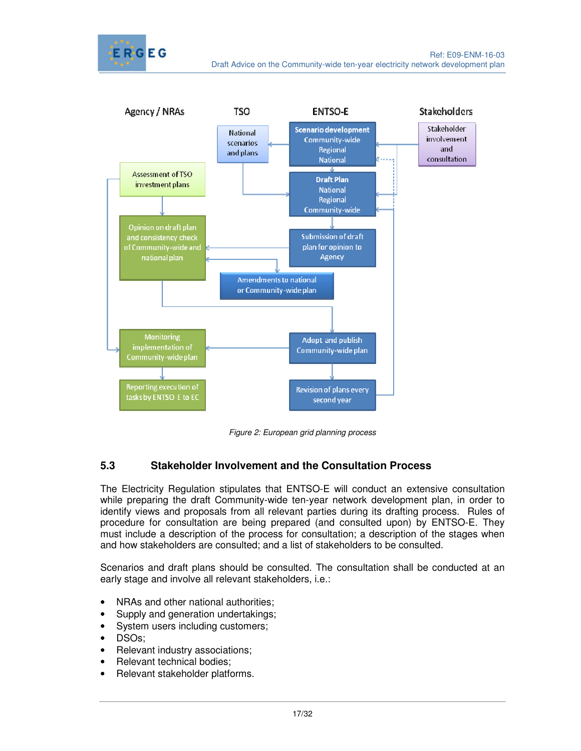



Figure 2: European grid planning process

# **5.3 Stakeholder Involvement and the Consultation Process**

The Electricity Regulation stipulates that ENTSO-E will conduct an extensive consultation while preparing the draft Community-wide ten-year network development plan, in order to identify views and proposals from all relevant parties during its drafting process. Rules of procedure for consultation are being prepared (and consulted upon) by ENTSO-E. They must include a description of the process for consultation; a description of the stages when and how stakeholders are consulted; and a list of stakeholders to be consulted.

Scenarios and draft plans should be consulted. The consultation shall be conducted at an early stage and involve all relevant stakeholders, i.e.:

- NRAs and other national authorities;
- Supply and generation undertakings;
- System users including customers;
- DSOs;
- Relevant industry associations;
- Relevant technical bodies;
- Relevant stakeholder platforms.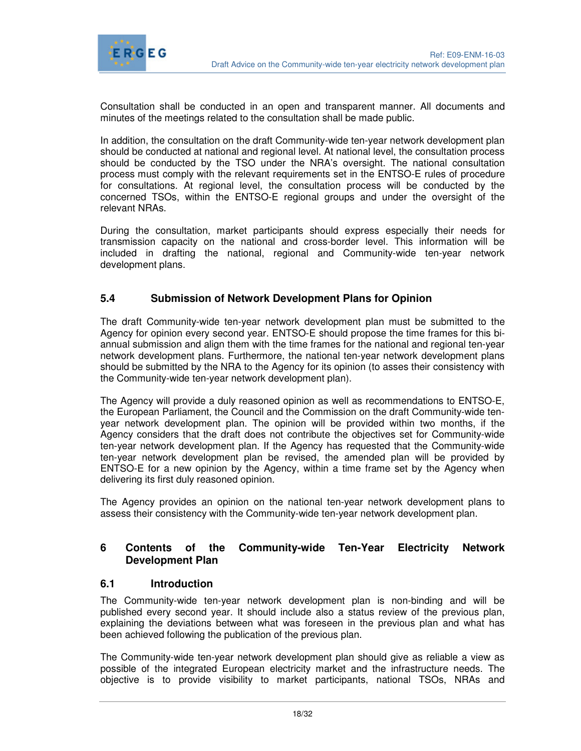

Consultation shall be conducted in an open and transparent manner. All documents and minutes of the meetings related to the consultation shall be made public.

In addition, the consultation on the draft Community-wide ten-year network development plan should be conducted at national and regional level. At national level, the consultation process should be conducted by the TSO under the NRA's oversight. The national consultation process must comply with the relevant requirements set in the ENTSO-E rules of procedure for consultations. At regional level, the consultation process will be conducted by the concerned TSOs, within the ENTSO-E regional groups and under the oversight of the relevant NRAs.

During the consultation, market participants should express especially their needs for transmission capacity on the national and cross-border level. This information will be included in drafting the national, regional and Community-wide ten-year network development plans.

#### **5.4 Submission of Network Development Plans for Opinion**

The draft Community-wide ten-year network development plan must be submitted to the Agency for opinion every second year. ENTSO-E should propose the time frames for this biannual submission and align them with the time frames for the national and regional ten-year network development plans. Furthermore, the national ten-year network development plans should be submitted by the NRA to the Agency for its opinion (to asses their consistency with the Community-wide ten-year network development plan).

The Agency will provide a duly reasoned opinion as well as recommendations to ENTSO-E, the European Parliament, the Council and the Commission on the draft Community-wide tenyear network development plan. The opinion will be provided within two months, if the Agency considers that the draft does not contribute the objectives set for Community-wide ten-year network development plan. If the Agency has requested that the Community-wide ten-year network development plan be revised, the amended plan will be provided by ENTSO-E for a new opinion by the Agency, within a time frame set by the Agency when delivering its first duly reasoned opinion.

The Agency provides an opinion on the national ten-year network development plans to assess their consistency with the Community-wide ten-year network development plan.

#### **6 Contents of the Community-wide Ten-Year Electricity Network Development Plan**

#### **6.1 Introduction**

The Community-wide ten-year network development plan is non-binding and will be published every second year. It should include also a status review of the previous plan, explaining the deviations between what was foreseen in the previous plan and what has been achieved following the publication of the previous plan.

The Community-wide ten-year network development plan should give as reliable a view as possible of the integrated European electricity market and the infrastructure needs. The objective is to provide visibility to market participants, national TSOs, NRAs and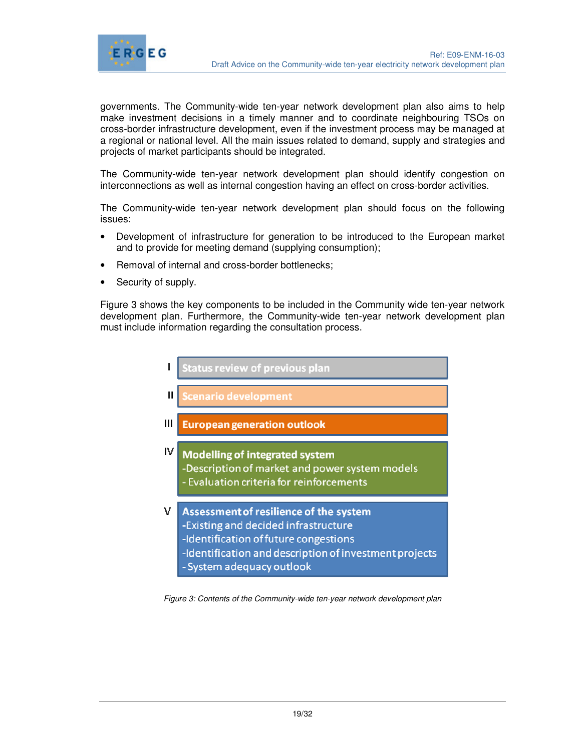

governments. The Community-wide ten-year network development plan also aims to help make investment decisions in a timely manner and to coordinate neighbouring TSOs on cross-border infrastructure development, even if the investment process may be managed at a regional or national level. All the main issues related to demand, supply and strategies and projects of market participants should be integrated.

The Community-wide ten-year network development plan should identify congestion on interconnections as well as internal congestion having an effect on cross-border activities.

The Community-wide ten-year network development plan should focus on the following issues:

- Development of infrastructure for generation to be introduced to the European market and to provide for meeting demand (supplying consumption);
- Removal of internal and cross-border bottlenecks;
- Security of supply.

Figure 3 shows the key components to be included in the Community wide ten-year network development plan. Furthermore, the Community-wide ten-year network development plan must include information regarding the consultation process.



Figure 3: Contents of the Community-wide ten-year network development plan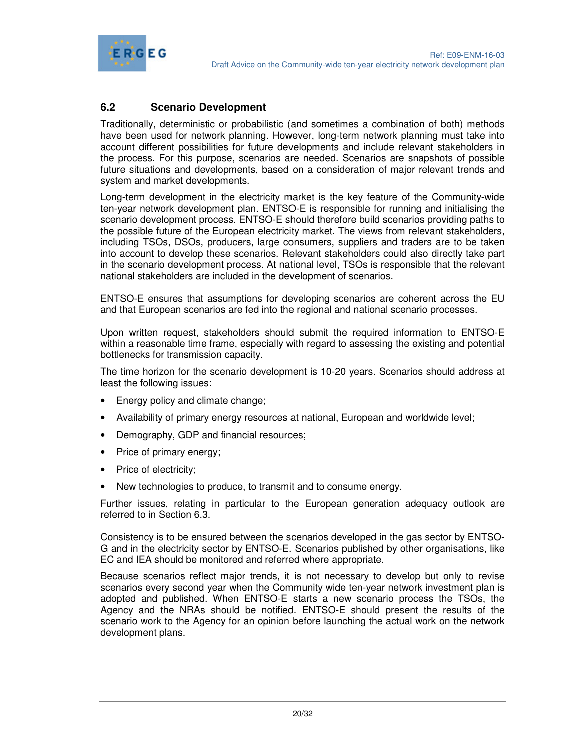

# **6.2 Scenario Development**

Traditionally, deterministic or probabilistic (and sometimes a combination of both) methods have been used for network planning. However, long-term network planning must take into account different possibilities for future developments and include relevant stakeholders in the process. For this purpose, scenarios are needed. Scenarios are snapshots of possible future situations and developments, based on a consideration of major relevant trends and system and market developments.

Long-term development in the electricity market is the key feature of the Community-wide ten-year network development plan. ENTSO-E is responsible for running and initialising the scenario development process. ENTSO-E should therefore build scenarios providing paths to the possible future of the European electricity market. The views from relevant stakeholders, including TSOs, DSOs, producers, large consumers, suppliers and traders are to be taken into account to develop these scenarios. Relevant stakeholders could also directly take part in the scenario development process. At national level, TSOs is responsible that the relevant national stakeholders are included in the development of scenarios.

ENTSO-E ensures that assumptions for developing scenarios are coherent across the EU and that European scenarios are fed into the regional and national scenario processes.

Upon written request, stakeholders should submit the required information to ENTSO-E within a reasonable time frame, especially with regard to assessing the existing and potential bottlenecks for transmission capacity.

The time horizon for the scenario development is 10-20 years. Scenarios should address at least the following issues:

- Energy policy and climate change;
- Availability of primary energy resources at national, European and worldwide level;
- Demography, GDP and financial resources;
- Price of primary energy;
- Price of electricity;
- New technologies to produce, to transmit and to consume energy.

Further issues, relating in particular to the European generation adequacy outlook are referred to in Section 6.3.

Consistency is to be ensured between the scenarios developed in the gas sector by ENTSO-G and in the electricity sector by ENTSO-E. Scenarios published by other organisations, like EC and IEA should be monitored and referred where appropriate.

Because scenarios reflect major trends, it is not necessary to develop but only to revise scenarios every second year when the Community wide ten-year network investment plan is adopted and published. When ENTSO-E starts a new scenario process the TSOs, the Agency and the NRAs should be notified. ENTSO-E should present the results of the scenario work to the Agency for an opinion before launching the actual work on the network development plans.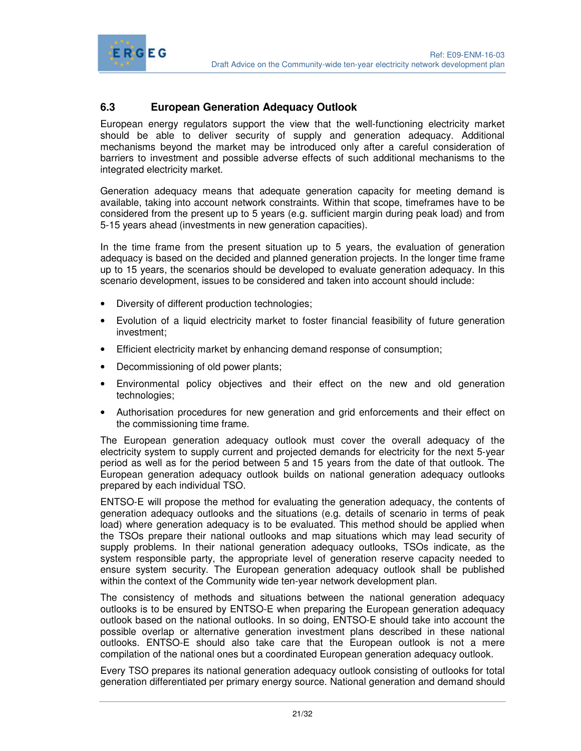

# **6.3 European Generation Adequacy Outlook**

European energy regulators support the view that the well-functioning electricity market should be able to deliver security of supply and generation adequacy. Additional mechanisms beyond the market may be introduced only after a careful consideration of barriers to investment and possible adverse effects of such additional mechanisms to the integrated electricity market.

Generation adequacy means that adequate generation capacity for meeting demand is available, taking into account network constraints. Within that scope, timeframes have to be considered from the present up to 5 years (e.g. sufficient margin during peak load) and from 5-15 years ahead (investments in new generation capacities).

In the time frame from the present situation up to 5 years, the evaluation of generation adequacy is based on the decided and planned generation projects. In the longer time frame up to 15 years, the scenarios should be developed to evaluate generation adequacy. In this scenario development, issues to be considered and taken into account should include:

- Diversity of different production technologies;
- Evolution of a liquid electricity market to foster financial feasibility of future generation investment;
- Efficient electricity market by enhancing demand response of consumption;
- Decommissioning of old power plants;
- Environmental policy objectives and their effect on the new and old generation technologies;
- Authorisation procedures for new generation and grid enforcements and their effect on the commissioning time frame.

The European generation adequacy outlook must cover the overall adequacy of the electricity system to supply current and projected demands for electricity for the next 5-year period as well as for the period between 5 and 15 years from the date of that outlook. The European generation adequacy outlook builds on national generation adequacy outlooks prepared by each individual TSO.

ENTSO-E will propose the method for evaluating the generation adequacy, the contents of generation adequacy outlooks and the situations (e.g. details of scenario in terms of peak load) where generation adequacy is to be evaluated. This method should be applied when the TSOs prepare their national outlooks and map situations which may lead security of supply problems. In their national generation adequacy outlooks, TSOs indicate, as the system responsible party, the appropriate level of generation reserve capacity needed to ensure system security. The European generation adequacy outlook shall be published within the context of the Community wide ten-year network development plan.

The consistency of methods and situations between the national generation adequacy outlooks is to be ensured by ENTSO-E when preparing the European generation adequacy outlook based on the national outlooks. In so doing, ENTSO-E should take into account the possible overlap or alternative generation investment plans described in these national outlooks. ENTSO-E should also take care that the European outlook is not a mere compilation of the national ones but a coordinated European generation adequacy outlook.

Every TSO prepares its national generation adequacy outlook consisting of outlooks for total generation differentiated per primary energy source. National generation and demand should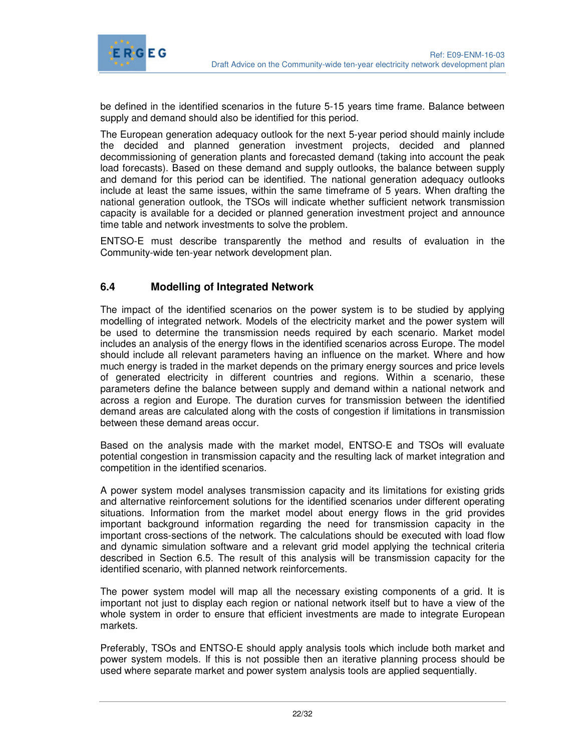

be defined in the identified scenarios in the future 5-15 years time frame. Balance between supply and demand should also be identified for this period.

The European generation adequacy outlook for the next 5-year period should mainly include the decided and planned generation investment projects, decided and planned decommissioning of generation plants and forecasted demand (taking into account the peak load forecasts). Based on these demand and supply outlooks, the balance between supply and demand for this period can be identified. The national generation adequacy outlooks include at least the same issues, within the same timeframe of 5 years. When drafting the national generation outlook, the TSOs will indicate whether sufficient network transmission capacity is available for a decided or planned generation investment project and announce time table and network investments to solve the problem.

ENTSO-E must describe transparently the method and results of evaluation in the Community-wide ten-year network development plan.

# **6.4 Modelling of Integrated Network**

The impact of the identified scenarios on the power system is to be studied by applying modelling of integrated network. Models of the electricity market and the power system will be used to determine the transmission needs required by each scenario. Market model includes an analysis of the energy flows in the identified scenarios across Europe. The model should include all relevant parameters having an influence on the market. Where and how much energy is traded in the market depends on the primary energy sources and price levels of generated electricity in different countries and regions. Within a scenario, these parameters define the balance between supply and demand within a national network and across a region and Europe. The duration curves for transmission between the identified demand areas are calculated along with the costs of congestion if limitations in transmission between these demand areas occur.

Based on the analysis made with the market model, ENTSO-E and TSOs will evaluate potential congestion in transmission capacity and the resulting lack of market integration and competition in the identified scenarios.

A power system model analyses transmission capacity and its limitations for existing grids and alternative reinforcement solutions for the identified scenarios under different operating situations. Information from the market model about energy flows in the grid provides important background information regarding the need for transmission capacity in the important cross-sections of the network. The calculations should be executed with load flow and dynamic simulation software and a relevant grid model applying the technical criteria described in Section 6.5. The result of this analysis will be transmission capacity for the identified scenario, with planned network reinforcements.

The power system model will map all the necessary existing components of a grid. It is important not just to display each region or national network itself but to have a view of the whole system in order to ensure that efficient investments are made to integrate European markets.

Preferably, TSOs and ENTSO-E should apply analysis tools which include both market and power system models. If this is not possible then an iterative planning process should be used where separate market and power system analysis tools are applied sequentially.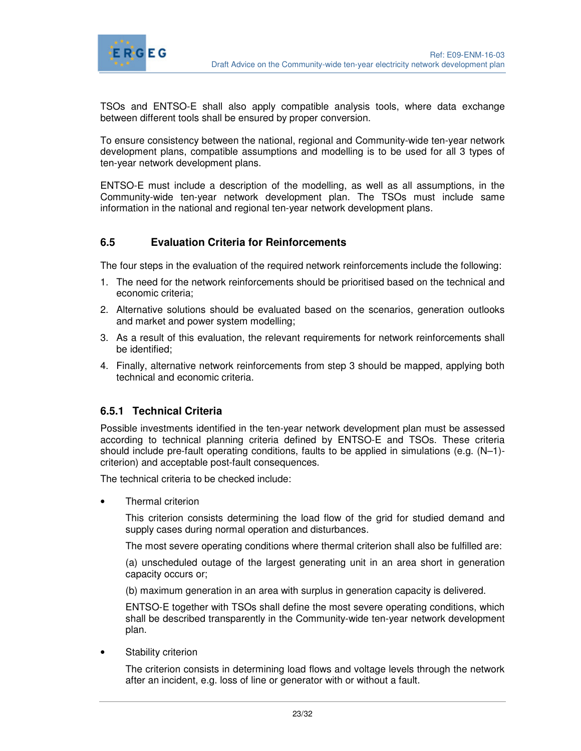

TSOs and ENTSO-E shall also apply compatible analysis tools, where data exchange between different tools shall be ensured by proper conversion.

To ensure consistency between the national, regional and Community-wide ten-year network development plans, compatible assumptions and modelling is to be used for all 3 types of ten-year network development plans.

ENTSO-E must include a description of the modelling, as well as all assumptions, in the Community-wide ten-year network development plan. The TSOs must include same information in the national and regional ten-year network development plans.

#### **6.5 Evaluation Criteria for Reinforcements**

The four steps in the evaluation of the required network reinforcements include the following:

- 1. The need for the network reinforcements should be prioritised based on the technical and economic criteria;
- 2. Alternative solutions should be evaluated based on the scenarios, generation outlooks and market and power system modelling;
- 3. As a result of this evaluation, the relevant requirements for network reinforcements shall be identified;
- 4. Finally, alternative network reinforcements from step 3 should be mapped, applying both technical and economic criteria.

#### **6.5.1 Technical Criteria**

Possible investments identified in the ten-year network development plan must be assessed according to technical planning criteria defined by ENTSO-E and TSOs. These criteria should include pre-fault operating conditions, faults to be applied in simulations (e.g. (N–1) criterion) and acceptable post-fault consequences.

The technical criteria to be checked include:

• Thermal criterion

This criterion consists determining the load flow of the grid for studied demand and supply cases during normal operation and disturbances.

The most severe operating conditions where thermal criterion shall also be fulfilled are:

(a) unscheduled outage of the largest generating unit in an area short in generation capacity occurs or;

(b) maximum generation in an area with surplus in generation capacity is delivered.

ENTSO-E together with TSOs shall define the most severe operating conditions, which shall be described transparently in the Community-wide ten-year network development plan.

Stability criterion

The criterion consists in determining load flows and voltage levels through the network after an incident, e.g. loss of line or generator with or without a fault.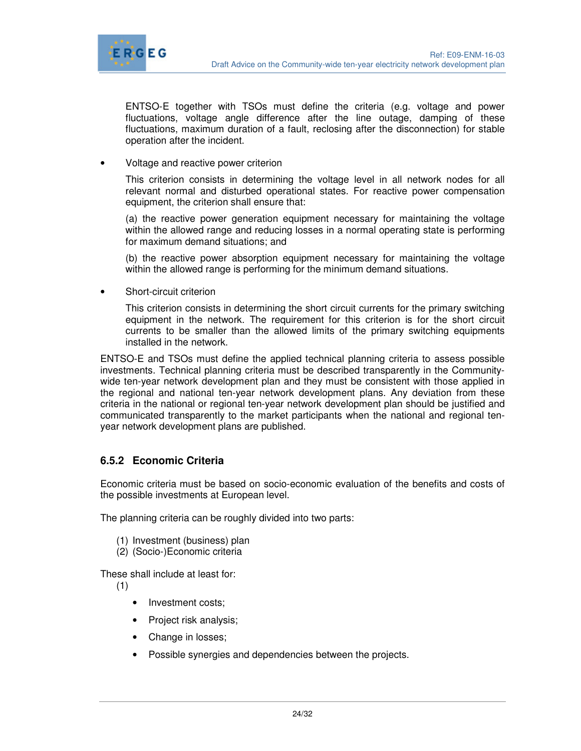

ENTSO-E together with TSOs must define the criteria (e.g. voltage and power fluctuations, voltage angle difference after the line outage, damping of these fluctuations, maximum duration of a fault, reclosing after the disconnection) for stable operation after the incident.

• Voltage and reactive power criterion

This criterion consists in determining the voltage level in all network nodes for all relevant normal and disturbed operational states. For reactive power compensation equipment, the criterion shall ensure that:

(a) the reactive power generation equipment necessary for maintaining the voltage within the allowed range and reducing losses in a normal operating state is performing for maximum demand situations; and

(b) the reactive power absorption equipment necessary for maintaining the voltage within the allowed range is performing for the minimum demand situations.

Short-circuit criterion

This criterion consists in determining the short circuit currents for the primary switching equipment in the network. The requirement for this criterion is for the short circuit currents to be smaller than the allowed limits of the primary switching equipments installed in the network.

ENTSO-E and TSOs must define the applied technical planning criteria to assess possible investments. Technical planning criteria must be described transparently in the Communitywide ten-year network development plan and they must be consistent with those applied in the regional and national ten-year network development plans. Any deviation from these criteria in the national or regional ten-year network development plan should be justified and communicated transparently to the market participants when the national and regional tenyear network development plans are published.

#### **6.5.2 Economic Criteria**

Economic criteria must be based on socio-economic evaluation of the benefits and costs of the possible investments at European level.

The planning criteria can be roughly divided into two parts:

- (1) Investment (business) plan
- (2) (Socio-)Economic criteria

These shall include at least for:

- (1)
- Investment costs;
- Project risk analysis;
- Change in losses;
- Possible synergies and dependencies between the projects.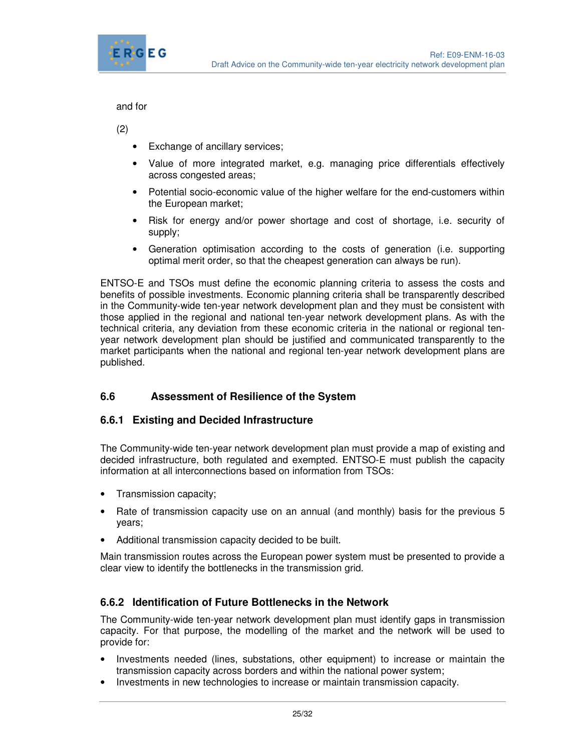

and for

(2)

- Exchange of ancillary services;
- Value of more integrated market, e.g. managing price differentials effectively across congested areas;
- Potential socio-economic value of the higher welfare for the end-customers within the European market;
- Risk for energy and/or power shortage and cost of shortage, i.e. security of supply;
- Generation optimisation according to the costs of generation (i.e. supporting optimal merit order, so that the cheapest generation can always be run).

ENTSO-E and TSOs must define the economic planning criteria to assess the costs and benefits of possible investments. Economic planning criteria shall be transparently described in the Community-wide ten-year network development plan and they must be consistent with those applied in the regional and national ten-year network development plans. As with the technical criteria, any deviation from these economic criteria in the national or regional tenyear network development plan should be justified and communicated transparently to the market participants when the national and regional ten-year network development plans are published.

# **6.6 Assessment of Resilience of the System**

# **6.6.1 Existing and Decided Infrastructure**

The Community-wide ten-year network development plan must provide a map of existing and decided infrastructure, both regulated and exempted. ENTSO-E must publish the capacity information at all interconnections based on information from TSOs:

- Transmission capacity;
- Rate of transmission capacity use on an annual (and monthly) basis for the previous 5 years;
- Additional transmission capacity decided to be built.

Main transmission routes across the European power system must be presented to provide a clear view to identify the bottlenecks in the transmission grid.

# **6.6.2 Identification of Future Bottlenecks in the Network**

The Community-wide ten-year network development plan must identify gaps in transmission capacity. For that purpose, the modelling of the market and the network will be used to provide for:

- Investments needed (lines, substations, other equipment) to increase or maintain the transmission capacity across borders and within the national power system;
- Investments in new technologies to increase or maintain transmission capacity.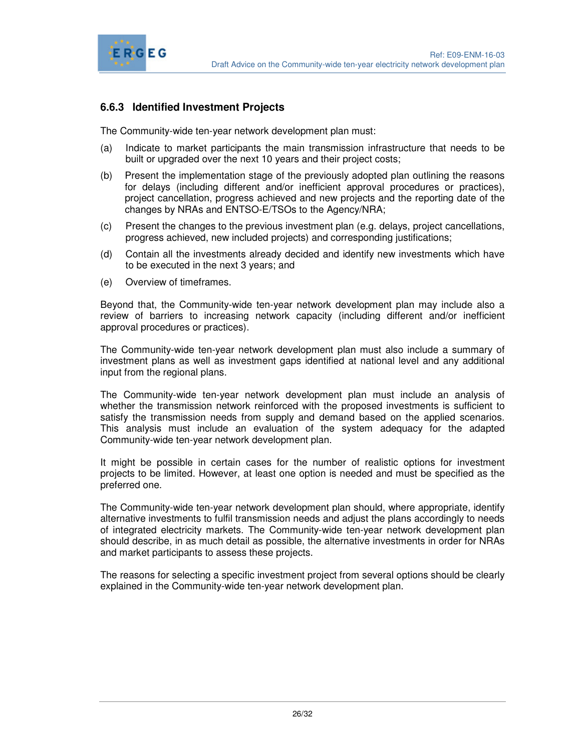

# **6.6.3 Identified Investment Projects**

The Community-wide ten-year network development plan must:

- (a) Indicate to market participants the main transmission infrastructure that needs to be built or upgraded over the next 10 years and their project costs;
- (b) Present the implementation stage of the previously adopted plan outlining the reasons for delays (including different and/or inefficient approval procedures or practices), project cancellation, progress achieved and new projects and the reporting date of the changes by NRAs and ENTSO-E/TSOs to the Agency/NRA;
- (c) Present the changes to the previous investment plan (e.g. delays, project cancellations, progress achieved, new included projects) and corresponding justifications;
- (d) Contain all the investments already decided and identify new investments which have to be executed in the next 3 years; and
- (e) Overview of timeframes.

Beyond that, the Community-wide ten-year network development plan may include also a review of barriers to increasing network capacity (including different and/or inefficient approval procedures or practices).

The Community-wide ten-year network development plan must also include a summary of investment plans as well as investment gaps identified at national level and any additional input from the regional plans.

The Community-wide ten-year network development plan must include an analysis of whether the transmission network reinforced with the proposed investments is sufficient to satisfy the transmission needs from supply and demand based on the applied scenarios. This analysis must include an evaluation of the system adequacy for the adapted Community-wide ten-year network development plan.

It might be possible in certain cases for the number of realistic options for investment projects to be limited. However, at least one option is needed and must be specified as the preferred one.

The Community-wide ten-year network development plan should, where appropriate, identify alternative investments to fulfil transmission needs and adjust the plans accordingly to needs of integrated electricity markets. The Community-wide ten-year network development plan should describe, in as much detail as possible, the alternative investments in order for NRAs and market participants to assess these projects.

The reasons for selecting a specific investment project from several options should be clearly explained in the Community-wide ten-year network development plan.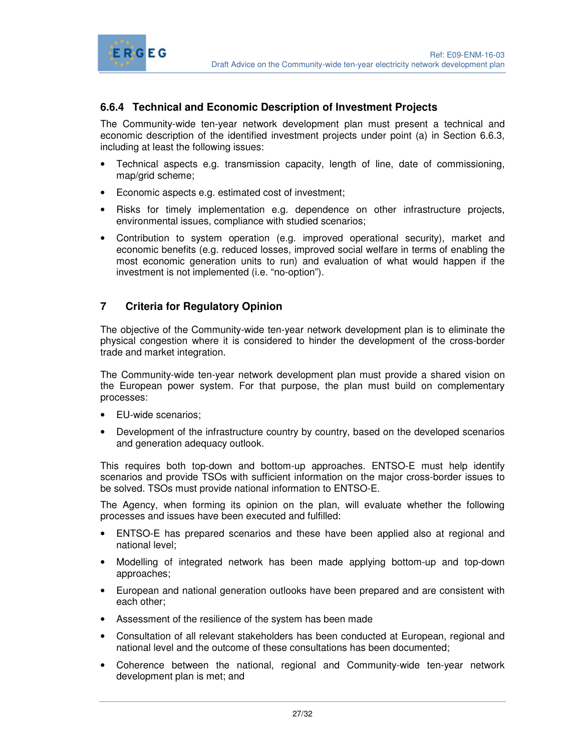

# **6.6.4 Technical and Economic Description of Investment Projects**

The Community-wide ten-year network development plan must present a technical and economic description of the identified investment projects under point (a) in Section 6.6.3, including at least the following issues:

- Technical aspects e.g. transmission capacity, length of line, date of commissioning, map/grid scheme;
- Economic aspects e.g. estimated cost of investment;
- Risks for timely implementation e.g. dependence on other infrastructure projects, environmental issues, compliance with studied scenarios;
- Contribution to system operation (e.g. improved operational security), market and economic benefits (e.g. reduced losses, improved social welfare in terms of enabling the most economic generation units to run) and evaluation of what would happen if the investment is not implemented (i.e. "no-option").

#### **7 Criteria for Regulatory Opinion**

The objective of the Community-wide ten-year network development plan is to eliminate the physical congestion where it is considered to hinder the development of the cross-border trade and market integration.

The Community-wide ten-year network development plan must provide a shared vision on the European power system. For that purpose, the plan must build on complementary processes:

- EU-wide scenarios;
- Development of the infrastructure country by country, based on the developed scenarios and generation adequacy outlook.

This requires both top-down and bottom-up approaches. ENTSO-E must help identify scenarios and provide TSOs with sufficient information on the major cross-border issues to be solved. TSOs must provide national information to ENTSO-E.

The Agency, when forming its opinion on the plan, will evaluate whether the following processes and issues have been executed and fulfilled:

- ENTSO-E has prepared scenarios and these have been applied also at regional and national level;
- Modelling of integrated network has been made applying bottom-up and top-down approaches;
- European and national generation outlooks have been prepared and are consistent with each other;
- Assessment of the resilience of the system has been made
- Consultation of all relevant stakeholders has been conducted at European, regional and national level and the outcome of these consultations has been documented;
- Coherence between the national, regional and Community-wide ten-year network development plan is met; and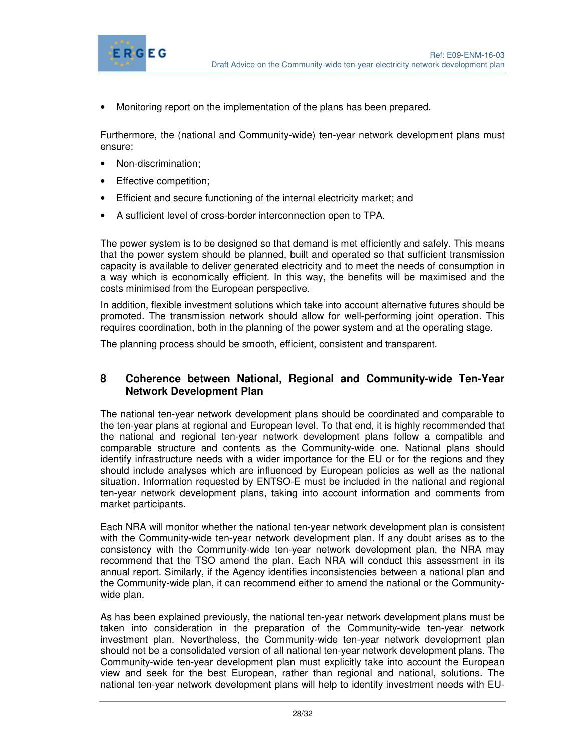

• Monitoring report on the implementation of the plans has been prepared.

Furthermore, the (national and Community-wide) ten-year network development plans must ensure:

- Non-discrimination;
- Effective competition;
- Efficient and secure functioning of the internal electricity market; and
- A sufficient level of cross-border interconnection open to TPA.

The power system is to be designed so that demand is met efficiently and safely. This means that the power system should be planned, built and operated so that sufficient transmission capacity is available to deliver generated electricity and to meet the needs of consumption in a way which is economically efficient. In this way, the benefits will be maximised and the costs minimised from the European perspective.

In addition, flexible investment solutions which take into account alternative futures should be promoted. The transmission network should allow for well-performing joint operation. This requires coordination, both in the planning of the power system and at the operating stage.

The planning process should be smooth, efficient, consistent and transparent.

#### **8 Coherence between National, Regional and Community-wide Ten-Year Network Development Plan**

The national ten-year network development plans should be coordinated and comparable to the ten-year plans at regional and European level. To that end, it is highly recommended that the national and regional ten-year network development plans follow a compatible and comparable structure and contents as the Community-wide one. National plans should identify infrastructure needs with a wider importance for the EU or for the regions and they should include analyses which are influenced by European policies as well as the national situation. Information requested by ENTSO-E must be included in the national and regional ten-year network development plans, taking into account information and comments from market participants.

Each NRA will monitor whether the national ten-year network development plan is consistent with the Community-wide ten-year network development plan. If any doubt arises as to the consistency with the Community-wide ten-year network development plan, the NRA may recommend that the TSO amend the plan. Each NRA will conduct this assessment in its annual report. Similarly, if the Agency identifies inconsistencies between a national plan and the Community-wide plan, it can recommend either to amend the national or the Communitywide plan.

As has been explained previously, the national ten-year network development plans must be taken into consideration in the preparation of the Community-wide ten-year network investment plan. Nevertheless, the Community-wide ten-year network development plan should not be a consolidated version of all national ten-year network development plans. The Community-wide ten-year development plan must explicitly take into account the European view and seek for the best European, rather than regional and national, solutions. The national ten-year network development plans will help to identify investment needs with EU-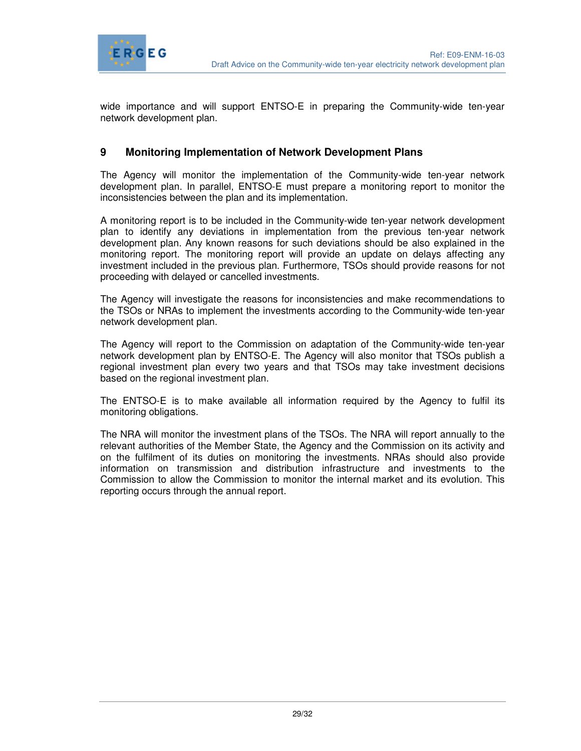

wide importance and will support ENTSO-E in preparing the Community-wide ten-year network development plan.

## **9 Monitoring Implementation of Network Development Plans**

The Agency will monitor the implementation of the Community-wide ten-year network development plan. In parallel, ENTSO-E must prepare a monitoring report to monitor the inconsistencies between the plan and its implementation.

A monitoring report is to be included in the Community-wide ten-year network development plan to identify any deviations in implementation from the previous ten-year network development plan. Any known reasons for such deviations should be also explained in the monitoring report. The monitoring report will provide an update on delays affecting any investment included in the previous plan. Furthermore, TSOs should provide reasons for not proceeding with delayed or cancelled investments.

The Agency will investigate the reasons for inconsistencies and make recommendations to the TSOs or NRAs to implement the investments according to the Community-wide ten-year network development plan.

The Agency will report to the Commission on adaptation of the Community-wide ten-year network development plan by ENTSO-E. The Agency will also monitor that TSOs publish a regional investment plan every two years and that TSOs may take investment decisions based on the regional investment plan.

The ENTSO-E is to make available all information required by the Agency to fulfil its monitoring obligations.

The NRA will monitor the investment plans of the TSOs. The NRA will report annually to the relevant authorities of the Member State, the Agency and the Commission on its activity and on the fulfilment of its duties on monitoring the investments. NRAs should also provide information on transmission and distribution infrastructure and investments to the Commission to allow the Commission to monitor the internal market and its evolution. This reporting occurs through the annual report.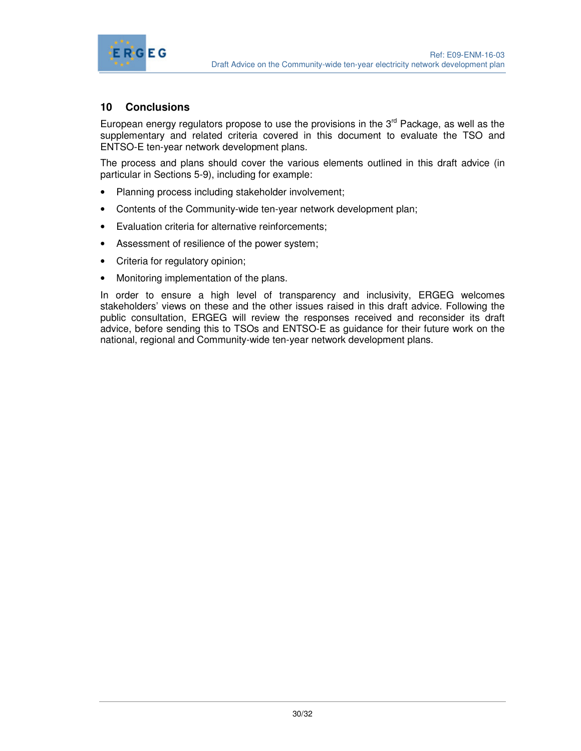

# **10 Conclusions**

European energy regulators propose to use the provisions in the  $3<sup>rd</sup>$  Package, as well as the supplementary and related criteria covered in this document to evaluate the TSO and ENTSO-E ten-year network development plans.

The process and plans should cover the various elements outlined in this draft advice (in particular in Sections 5-9), including for example:

- Planning process including stakeholder involvement;
- Contents of the Community-wide ten-year network development plan;
- Evaluation criteria for alternative reinforcements;
- Assessment of resilience of the power system;
- Criteria for regulatory opinion;
- Monitoring implementation of the plans.

In order to ensure a high level of transparency and inclusivity, ERGEG welcomes stakeholders' views on these and the other issues raised in this draft advice. Following the public consultation, ERGEG will review the responses received and reconsider its draft advice, before sending this to TSOs and ENTSO-E as guidance for their future work on the national, regional and Community-wide ten-year network development plans.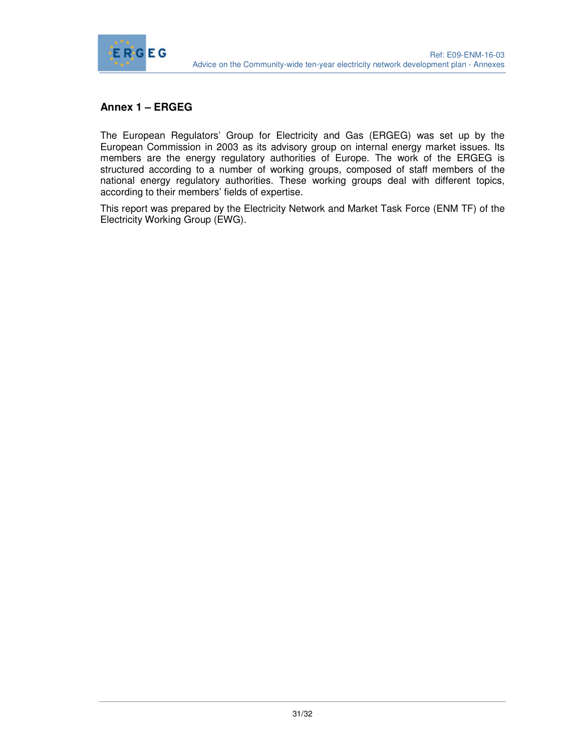

# **Annex 1 – ERGEG**

The European Regulators' Group for Electricity and Gas (ERGEG) was set up by the European Commission in 2003 as its advisory group on internal energy market issues. Its members are the energy regulatory authorities of Europe. The work of the ERGEG is structured according to a number of working groups, composed of staff members of the national energy regulatory authorities. These working groups deal with different topics, according to their members' fields of expertise.

This report was prepared by the Electricity Network and Market Task Force (ENM TF) of the Electricity Working Group (EWG).